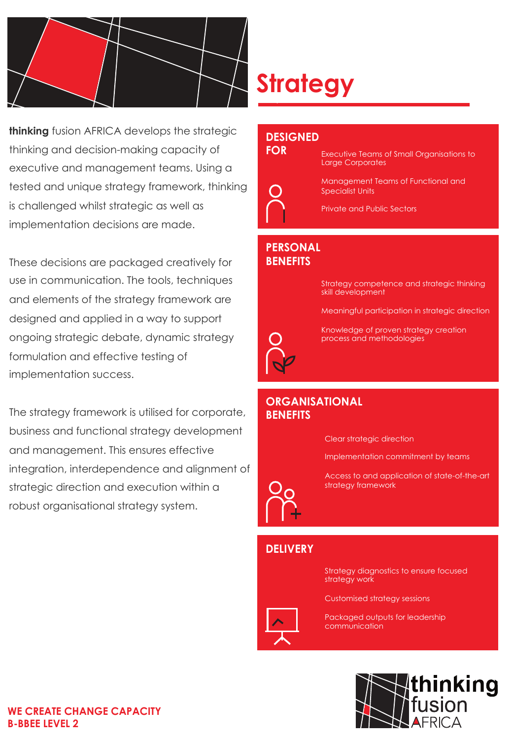

**thinking** fusion AFRICA develops the strategic thinking and decision-making capacity of executive and management teams. Using a tested and unique strategy framework, thinking is challenged whilst strategic as well as implementation decisions are made.

These decisions are packaged creatively for use in communication. The tools, techniques and elements of the strategy framework are designed and applied in a way to support ongoing strategic debate, dynamic strategy formulation and effective testing of implementation success.

The strategy framework is utilised for corporate, business and functional strategy development and management. This ensures effective integration, interdependence and alignment of strategic direction and execution within a robust organisational strategy system.

# **Strategy**

#### **DESIGNED**



Executive Teams of Small Organisations to Large Corporates

Management Teams of Functional and Specialist Units

Private and Public Sectors

### **PERSONAL BENEFITS**

Strategy competence and strategic thinking skill development

Meaningful participation in strategic direction



Knowledge of proven strategy creation process and methodologies

#### **ORGANISATIONAL BENEFITS**

Clear strategic direction

Implementation commitment by teams

Access to and application of state-of-the-art strategy framework

## **DELIVERY**

Strategy diagnostics to ensure focused strategy work

Customised strategy sessions

Packaged outputs for leadership communication